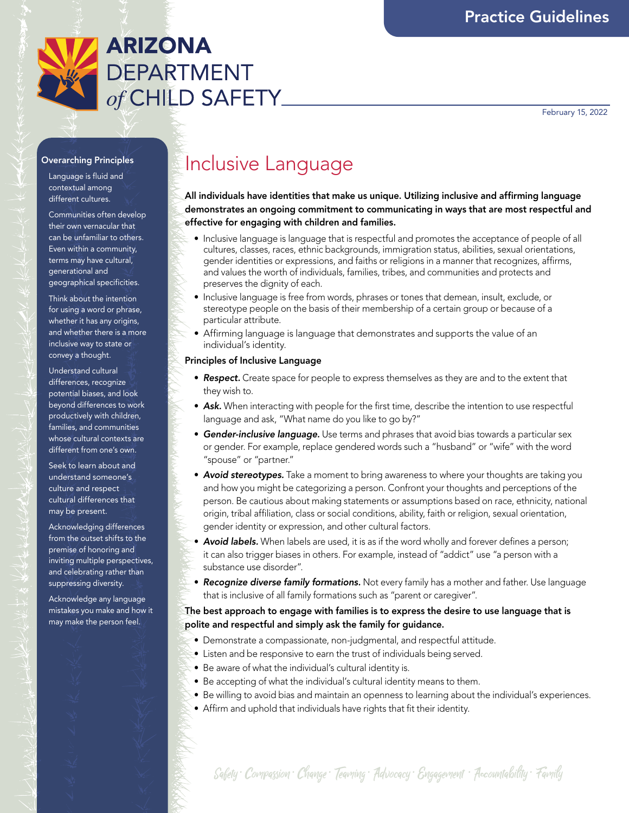

February 15, 2022

#### Overarching Principles

Language is fluid and contextual among different cultures.

Communities often develop their own vernacular that can be unfamiliar to others. Even within a community, terms may have cultural, generational and geographical specificities.

Think about the intention for using a word or phrase, whether it has any origins, and whether there is a more inclusive way to state or convey a thought.

Understand cultural differences, recognize potential biases, and look beyond differences to work productively with children, families, and communities whose cultural contexts are different from one's own.

Seek to learn about and understand someone's culture and respect cultural differences that may be present.

Acknowledging differences from the outset shifts to the premise of honoring and inviting multiple perspectives, and celebrating rather than suppressing diversity.

Acknowledge any language mistakes you make and how it may make the person feel.

# Inclusive Language

All individuals have identities that make us unique. Utilizing inclusive and affirming language demonstrates an ongoing commitment to communicating in ways that are most respectful and effective for engaging with children and families.

- Inclusive language is language that is respectful and promotes the acceptance of people of all cultures, classes, races, ethnic backgrounds, immigration status, abilities, sexual orientations, gender identities or expressions, and faiths or religions in a manner that recognizes, affirms, and values the worth of individuals, families, tribes, and communities and protects and preserves the dignity of each.
- Inclusive language is free from words, phrases or tones that demean, insult, exclude, or stereotype people on the basis of their membership of a certain group or because of a particular attribute.
- Affirming language is language that demonstrates and supports the value of an individual's identity.

#### Principles of Inclusive Language

- *Respect.* Create space for people to express themselves as they are and to the extent that they wish to.
- *Ask.* When interacting with people for the first time, describe the intention to use respectful language and ask, "What name do you like to go by?"
- *Gender-inclusive language.* Use terms and phrases that avoid bias towards a particular sex or gender. For example, replace gendered words such a "husband" or "wife" with the word "spouse" or "partner."
- *Avoid stereotypes.* Take a moment to bring awareness to where your thoughts are taking you and how you might be categorizing a person. Confront your thoughts and perceptions of the person. Be cautious about making statements or assumptions based on race, ethnicity, national origin, tribal affiliation, class or social conditions, ability, faith or religion, sexual orientation, gender identity or expression, and other cultural factors.
- *Avoid labels.* When labels are used, it is as if the word wholly and forever defines a person; it can also trigger biases in others. For example, instead of "addict" use "a person with a substance use disorder".
- *Recognize diverse family formations.* Not every family has a mother and father. Use language that is inclusive of all family formations such as "parent or caregiver".

## The best approach to engage with families is to express the desire to use language that is polite and respectful and simply ask the family for guidance.

- Demonstrate a compassionate, non-judgmental, and respectful attitude.
- Listen and be responsive to earn the trust of individuals being served.
- Be aware of what the individual's cultural identity is.
- Be accepting of what the individual's cultural identity means to them.
- Be willing to avoid bias and maintain an openness to learning about the individual's experiences.
- Affirm and uphold that individuals have rights that fit their identity.

Safety · Compassion · Change · Teaming · Advocacy · Engagement · Accountability · Family